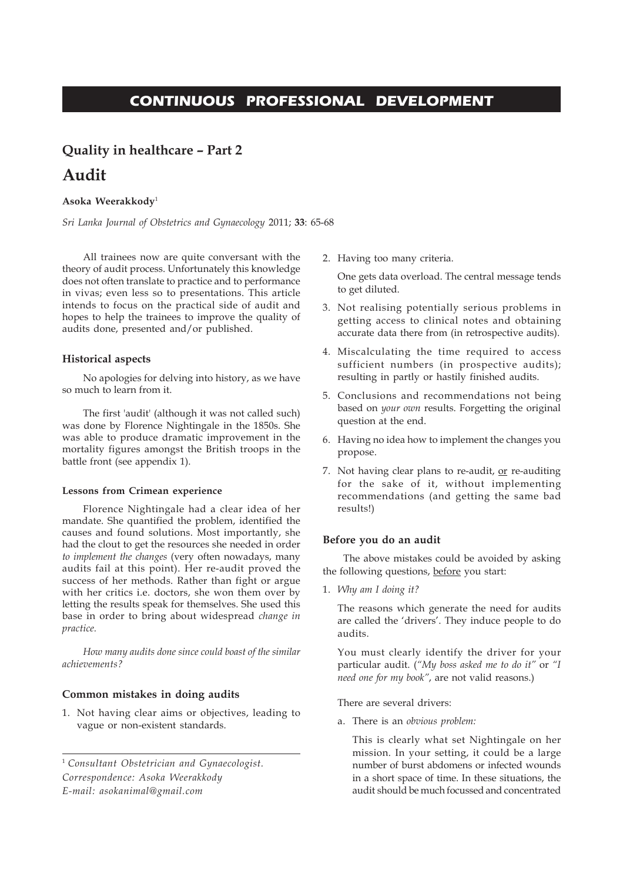## **CONTINUOUS PROFESSIONAL DEVELOPMENT**

# **Quality in healthcare – Part 2 Audit**

#### **Asoka Weerakkody**<sup>1</sup>

*Sri Lanka Journal of Obstetrics and Gynaecology* 2011; **33**: 65-68

All trainees now are quite conversant with the theory of audit process. Unfortunately this knowledge does not often translate to practice and to performance in vivas; even less so to presentations. This article intends to focus on the practical side of audit and hopes to help the trainees to improve the quality of audits done, presented and/or published.

#### **Historical aspects**

No apologies for delving into history, as we have so much to learn from it.

The first 'audit' (although it was not called such) was done by Florence Nightingale in the 1850s. She was able to produce dramatic improvement in the mortality figures amongst the British troops in the battle front (see appendix 1).

#### **Lessons from Crimean experience**

Florence Nightingale had a clear idea of her mandate. She quantified the problem, identified the causes and found solutions. Most importantly, she had the clout to get the resources she needed in order *to implement the changes* (very often nowadays, many audits fail at this point). Her re-audit proved the success of her methods. Rather than fight or argue with her critics i.e. doctors, she won them over by letting the results speak for themselves. She used this base in order to bring about widespread *change in practice.*

*How many audits done since could boast of the similar achievements?*

#### **Common mistakes in doing audits**

1. Not having clear aims or objectives, leading to vague or non-existent standards.

<sup>1</sup> *Consultant Obstetrician and Gynaecologist. Correspondence: Asoka Weerakkody E-mail: asokanimal@gmail.com*

2. Having too many criteria.

One gets data overload. The central message tends to get diluted.

- 3. Not realising potentially serious problems in getting access to clinical notes and obtaining accurate data there from (in retrospective audits).
- 4. Miscalculating the time required to access sufficient numbers (in prospective audits); resulting in partly or hastily finished audits.
- 5. Conclusions and recommendations not being based on *your own* results. Forgetting the original question at the end.
- 6. Having no idea how to implement the changes you propose.
- 7. Not having clear plans to re-audit, or re-auditing for the sake of it, without implementing recommendations (and getting the same bad results!)

#### **Before you do an audit**

The above mistakes could be avoided by asking the following questions, before you start:

1. *Why am I doing it?*

The reasons which generate the need for audits are called the 'drivers'. They induce people to do audits.

You must clearly identify the driver for your particular audit. (*"My boss asked me to do it"* or *"I need one for my book"*, are not valid reasons.)

There are several drivers:

a. There is an *obvious problem:*

This is clearly what set Nightingale on her mission. In your setting, it could be a large number of burst abdomens or infected wounds in a short space of time. In these situations, the audit should be much focussed and concentrated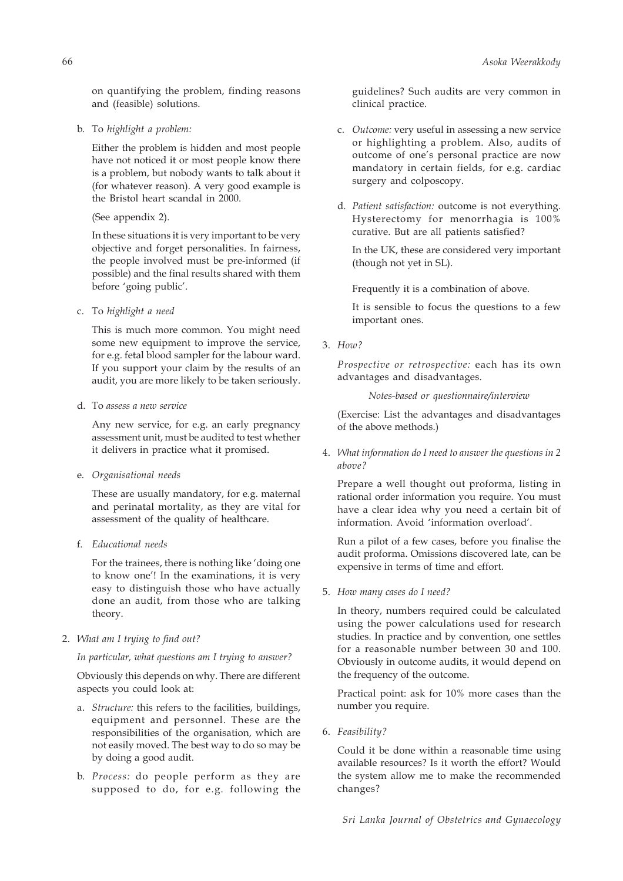on quantifying the problem, finding reasons and (feasible) solutions.

b. To *highlight a problem:*

Either the problem is hidden and most people have not noticed it or most people know there is a problem, but nobody wants to talk about it (for whatever reason). A very good example is the Bristol heart scandal in 2000.

(See appendix 2).

In these situations it is very important to be very objective and forget personalities. In fairness, the people involved must be pre-informed (if possible) and the final results shared with them before 'going public'.

c. To *highlight a need*

This is much more common. You might need some new equipment to improve the service, for e.g. fetal blood sampler for the labour ward. If you support your claim by the results of an audit, you are more likely to be taken seriously.

d. To *assess a new service*

Any new service, for e.g. an early pregnancy assessment unit, must be audited to test whether it delivers in practice what it promised.

e. *Organisational needs*

These are usually mandatory, for e.g. maternal and perinatal mortality, as they are vital for assessment of the quality of healthcare.

f. *Educational needs*

For the trainees, there is nothing like 'doing one to know one'! In the examinations, it is very easy to distinguish those who have actually done an audit, from those who are talking theory.

2. *What am I trying to find out?*

*In particular, what questions am I trying to answer?*

Obviously this depends on why. There are different aspects you could look at:

- a. *Structure:* this refers to the facilities, buildings, equipment and personnel. These are the responsibilities of the organisation, which are not easily moved. The best way to do so may be by doing a good audit.
- b. *Process:* do people perform as they are supposed to do, for e.g. following the

guidelines? Such audits are very common in clinical practice.

- c. *Outcome:* very useful in assessing a new service or highlighting a problem. Also, audits of outcome of one's personal practice are now mandatory in certain fields, for e.g. cardiac surgery and colposcopy.
- d. *Patient satisfaction:* outcome is not everything. Hysterectomy for menorrhagia is 100% curative. But are all patients satisfied?

In the UK, these are considered very important (though not yet in SL).

Frequently it is a combination of above.

It is sensible to focus the questions to a few important ones.

3. *How?*

*Prospective or retrospective:* each has its own advantages and disadvantages.

*Notes-based or questionnaire/interview*

(Exercise: List the advantages and disadvantages of the above methods.)

4. *What information do I need to answer the questions in 2 above?*

Prepare a well thought out proforma, listing in rational order information you require. You must have a clear idea why you need a certain bit of information. Avoid 'information overload'.

Run a pilot of a few cases, before you finalise the audit proforma. Omissions discovered late, can be expensive in terms of time and effort.

5. *How many cases do I need?*

In theory, numbers required could be calculated using the power calculations used for research studies. In practice and by convention, one settles for a reasonable number between 30 and 100. Obviously in outcome audits, it would depend on the frequency of the outcome.

Practical point: ask for 10% more cases than the number you require.

6. *Feasibility?*

Could it be done within a reasonable time using available resources? Is it worth the effort? Would the system allow me to make the recommended changes?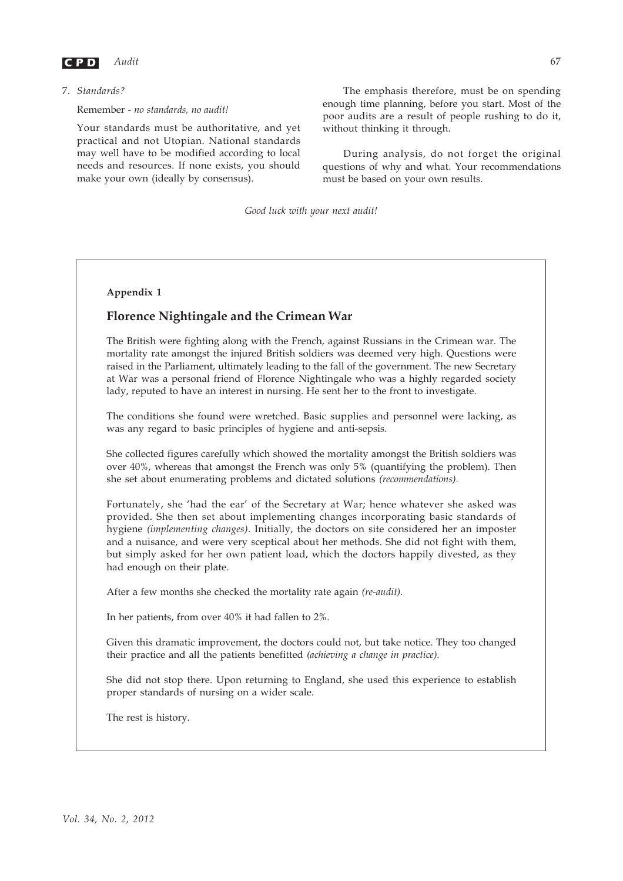

7. *Standards?*

Remember - *no standards, no audit!*

Your standards must be authoritative, and yet practical and not Utopian. National standards may well have to be modified according to local needs and resources. If none exists, you should make your own (ideally by consensus).

The emphasis therefore, must be on spending enough time planning, before you start. Most of the poor audits are a result of people rushing to do it, without thinking it through.

During analysis, do not forget the original questions of why and what. Your recommendations must be based on your own results.

*Good luck with your next audit!*

#### **Appendix 1**

## **Florence Nightingale and the Crimean War**

The British were fighting along with the French, against Russians in the Crimean war. The mortality rate amongst the injured British soldiers was deemed very high. Questions were raised in the Parliament, ultimately leading to the fall of the government. The new Secretary at War was a personal friend of Florence Nightingale who was a highly regarded society lady, reputed to have an interest in nursing. He sent her to the front to investigate.

The conditions she found were wretched. Basic supplies and personnel were lacking, as was any regard to basic principles of hygiene and anti-sepsis.

She collected figures carefully which showed the mortality amongst the British soldiers was over 40%, whereas that amongst the French was only 5% (quantifying the problem). Then she set about enumerating problems and dictated solutions *(recommendations).*

Fortunately, she 'had the ear' of the Secretary at War; hence whatever she asked was provided. She then set about implementing changes incorporating basic standards of hygiene *(implementing changes)*. Initially, the doctors on site considered her an imposter and a nuisance, and were very sceptical about her methods. She did not fight with them, but simply asked for her own patient load, which the doctors happily divested, as they had enough on their plate.

After a few months she checked the mortality rate again *(re-audit).*

In her patients, from over 40% it had fallen to 2%.

Given this dramatic improvement, the doctors could not, but take notice. They too changed their practice and all the patients benefitted *(achieving a change in practice).*

She did not stop there. Upon returning to England, she used this experience to establish proper standards of nursing on a wider scale.

The rest is history.